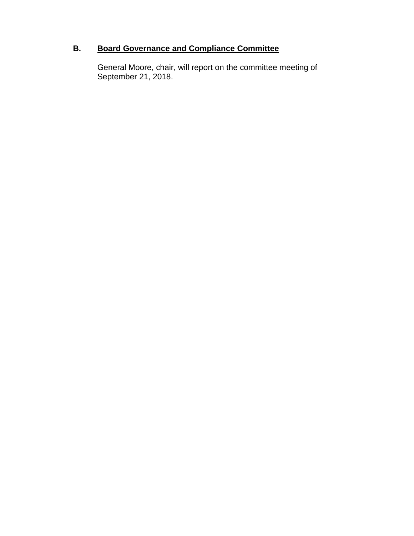# **B. Board Governance and Compliance Committee**

General Moore, chair, will report on the committee meeting of September 21, 2018.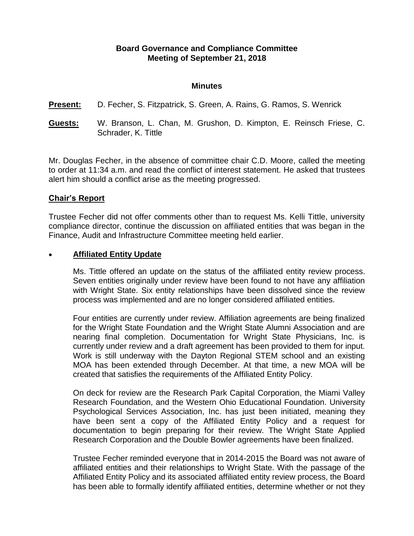# **Board Governance and Compliance Committee Meeting of September 21, 2018**

#### **Minutes**

#### **Present:** D. Fecher, S. Fitzpatrick, S. Green, A. Rains, G. Ramos, S. Wenrick

**Guests:** W. Branson, L. Chan, M. Grushon, D. Kimpton, E. Reinsch Friese, C. Schrader, K. Tittle

Mr. Douglas Fecher, in the absence of committee chair C.D. Moore, called the meeting to order at 11:34 a.m. and read the conflict of interest statement. He asked that trustees alert him should a conflict arise as the meeting progressed.

### **Chair's Report**

Trustee Fecher did not offer comments other than to request Ms. Kelli Tittle, university compliance director, continue the discussion on affiliated entities that was began in the Finance, Audit and Infrastructure Committee meeting held earlier.

#### **Affiliated Entity Update**

Ms. Tittle offered an update on the status of the affiliated entity review process. Seven entities originally under review have been found to not have any affiliation with Wright State. Six entity relationships have been dissolved since the review process was implemented and are no longer considered affiliated entities.

Four entities are currently under review. Affiliation agreements are being finalized for the Wright State Foundation and the Wright State Alumni Association and are nearing final completion. Documentation for Wright State Physicians, Inc. is currently under review and a draft agreement has been provided to them for input. Work is still underway with the Dayton Regional STEM school and an existing MOA has been extended through December. At that time, a new MOA will be created that satisfies the requirements of the Affiliated Entity Policy.

On deck for review are the Research Park Capital Corporation, the Miami Valley Research Foundation, and the Western Ohio Educational Foundation. University Psychological Services Association, Inc. has just been initiated, meaning they have been sent a copy of the Affiliated Entity Policy and a request for documentation to begin preparing for their review. The Wright State Applied Research Corporation and the Double Bowler agreements have been finalized.

Trustee Fecher reminded everyone that in 2014-2015 the Board was not aware of affiliated entities and their relationships to Wright State. With the passage of the Affiliated Entity Policy and its associated affiliated entity review process, the Board has been able to formally identify affiliated entities, determine whether or not they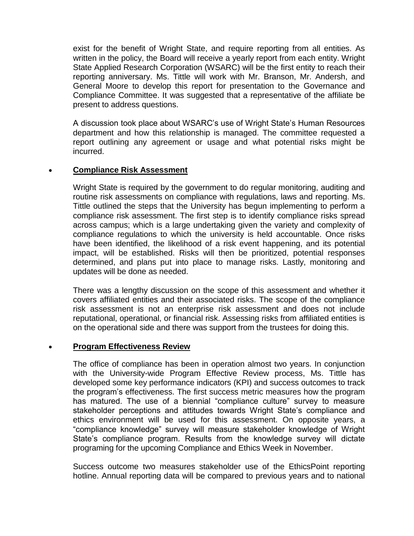exist for the benefit of Wright State, and require reporting from all entities. As written in the policy, the Board will receive a yearly report from each entity. Wright State Applied Research Corporation (WSARC) will be the first entity to reach their reporting anniversary. Ms. Tittle will work with Mr. Branson, Mr. Andersh, and General Moore to develop this report for presentation to the Governance and Compliance Committee. It was suggested that a representative of the affiliate be present to address questions.

A discussion took place about WSARC's use of Wright State's Human Resources department and how this relationship is managed. The committee requested a report outlining any agreement or usage and what potential risks might be incurred.

# **Compliance Risk Assessment**

Wright State is required by the government to do regular monitoring, auditing and routine risk assessments on compliance with regulations, laws and reporting. Ms. Tittle outlined the steps that the University has begun implementing to perform a compliance risk assessment. The first step is to identify compliance risks spread across campus; which is a large undertaking given the variety and complexity of compliance regulations to which the university is held accountable. Once risks have been identified, the likelihood of a risk event happening, and its potential impact, will be established. Risks will then be prioritized, potential responses determined, and plans put into place to manage risks. Lastly, monitoring and updates will be done as needed.

There was a lengthy discussion on the scope of this assessment and whether it covers affiliated entities and their associated risks. The scope of the compliance risk assessment is not an enterprise risk assessment and does not include reputational, operational, or financial risk. Assessing risks from affiliated entities is on the operational side and there was support from the trustees for doing this.

# **Program Effectiveness Review**

The office of compliance has been in operation almost two years. In conjunction with the University-wide Program Effective Review process, Ms. Tittle has developed some key performance indicators (KPI) and success outcomes to track the program's effectiveness. The first success metric measures how the program has matured. The use of a biennial "compliance culture" survey to measure stakeholder perceptions and attitudes towards Wright State's compliance and ethics environment will be used for this assessment. On opposite years, a "compliance knowledge" survey will measure stakeholder knowledge of Wright State's compliance program. Results from the knowledge survey will dictate programing for the upcoming Compliance and Ethics Week in November.

Success outcome two measures stakeholder use of the EthicsPoint reporting hotline. Annual reporting data will be compared to previous years and to national